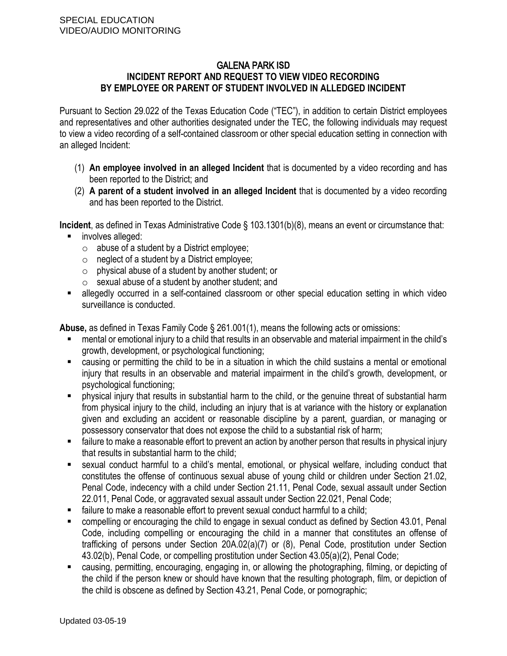## GALENA PARK **ISD INCIDENT REPORT AND REQUEST TO VIEW VIDEO RECORDING BY EMPLOYEE OR PARENT OF STUDENT INVOLVED IN ALLEDGED INCIDENT**

Pursuant to Section 29.022 of the Texas Education Code ("TEC"), in addition to certain District employees and representatives and other authorities designated under the TEC, the following individuals may request to view a video recording of a self-contained classroom or other special education setting in connection with an alleged Incident:

- (1) **An employee involved in an alleged Incident** that is documented by a video recording and has been reported to the District; and
- (2) **A parent of a student involved in an alleged Incident** that is documented by a video recording and has been reported to the District.

**Incident**, as defined in Texas Administrative Code § 103.1301(b)(8), means an event or circumstance that:

- **nice** involves alleged:
	- $\circ$  abuse of a student by a District employee;
	- $\circ$  neglect of a student by a District employee;
	- o physical abuse of a student by another student; or
	- $\circ$  sexual abuse of a student by another student; and
- allegedly occurred in a self-contained classroom or other special education setting in which video surveillance is conducted.

**Abuse,** as defined in Texas Family Code § 261.001(1), means the following acts or omissions:

- mental or emotional injury to a child that results in an observable and material impairment in the child's growth, development, or psychological functioning;
- causing or permitting the child to be in a situation in which the child sustains a mental or emotional injury that results in an observable and material impairment in the child's growth, development, or psychological functioning;
- physical injury that results in substantial harm to the child, or the genuine threat of substantial harm from physical injury to the child, including an injury that is at variance with the history or explanation given and excluding an accident or reasonable discipline by a parent, guardian, or managing or possessory conservator that does not expose the child to a substantial risk of harm;
- failure to make a reasonable effort to prevent an action by another person that results in physical injury that results in substantial harm to the child;
- sexual conduct harmful to a child's mental, emotional, or physical welfare, including conduct that constitutes the offense of continuous sexual abuse of young child or children under Section 21.02, Penal Code, indecency with a child under Section 21.11, Penal Code, sexual assault under Section 22.011, Penal Code, or aggravated sexual assault under Section 22.021, Penal Code;
- failure to make a reasonable effort to prevent sexual conduct harmful to a child;
- compelling or encouraging the child to engage in sexual conduct as defined by Section 43.01, Penal Code, including compelling or encouraging the child in a manner that constitutes an offense of trafficking of persons under Section 20A.02(a)(7) or (8), Penal Code, prostitution under Section 43.02(b), Penal Code, or compelling prostitution under Section 43.05(a)(2), Penal Code;
- causing, permitting, encouraging, engaging in, or allowing the photographing, filming, or depicting of the child if the person knew or should have known that the resulting photograph, film, or depiction of the child is obscene as defined by Section 43.21, Penal Code, or pornographic;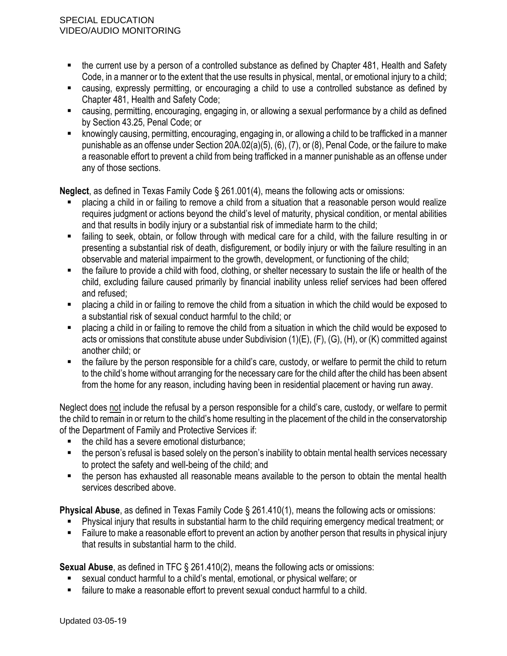## SPECIAL EDUCATION VIDEO/AUDIO MONITORING

- **the current use by a person of a controlled substance as defined by Chapter 481, Health and Safety** Code, in a manner or to the extent that the use results in physical, mental, or emotional injury to a child;
- causing, expressly permitting, or encouraging a child to use a controlled substance as defined by Chapter 481, Health and Safety Code;
- causing, permitting, encouraging, engaging in, or allowing a sexual performance by a child as defined by Section 43.25, Penal Code; or
- knowingly causing, permitting, encouraging, engaging in, or allowing a child to be trafficked in a manner punishable as an offense under Section 20A.02(a)(5), (6), (7), or (8), Penal Code, or the failure to make a reasonable effort to prevent a child from being trafficked in a manner punishable as an offense under any of those sections.

**Neglect**, as defined in Texas Family Code § 261.001(4), means the following acts or omissions:

- placing a child in or failing to remove a child from a situation that a reasonable person would realize requires judgment or actions beyond the child's level of maturity, physical condition, or mental abilities and that results in bodily injury or a substantial risk of immediate harm to the child;
- failing to seek, obtain, or follow through with medical care for a child, with the failure resulting in or presenting a substantial risk of death, disfigurement, or bodily injury or with the failure resulting in an observable and material impairment to the growth, development, or functioning of the child;
- the failure to provide a child with food, clothing, or shelter necessary to sustain the life or health of the child, excluding failure caused primarily by financial inability unless relief services had been offered and refused;
- placing a child in or failing to remove the child from a situation in which the child would be exposed to a substantial risk of sexual conduct harmful to the child; or
- placing a child in or failing to remove the child from a situation in which the child would be exposed to acts or omissions that constitute abuse under Subdivision (1)(E), (F), (G), (H), or (K) committed against another child; or
- the failure by the person responsible for a child's care, custody, or welfare to permit the child to return to the child's home without arranging for the necessary care for the child after the child has been absent from the home for any reason, including having been in residential placement or having run away.

Neglect does not include the refusal by a person responsible for a child's care, custody, or welfare to permit the child to remain in or return to the child's home resulting in the placement of the child in the conservatorship of the Department of Family and Protective Services if:

- the child has a severe emotional disturbance;
- the person's refusal is based solely on the person's inability to obtain mental health services necessary to protect the safety and well-being of the child; and
- the person has exhausted all reasonable means available to the person to obtain the mental health services described above.

**Physical Abuse**, as defined in Texas Family Code § 261.410(1), means the following acts or omissions:

- Physical injury that results in substantial harm to the child requiring emergency medical treatment; or
- Failure to make a reasonable effort to prevent an action by another person that results in physical injury that results in substantial harm to the child.

**Sexual Abuse**, as defined in TFC § 261.410(2), means the following acts or omissions:

- sexual conduct harmful to a child's mental, emotional, or physical welfare; or
- failure to make a reasonable effort to prevent sexual conduct harmful to a child.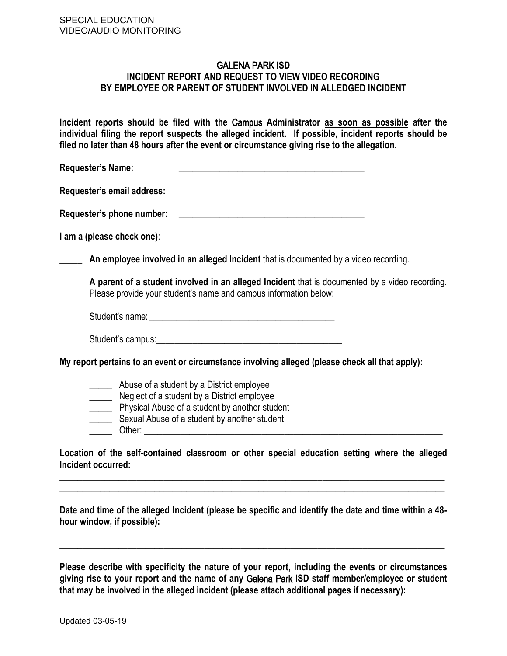## GALENA PARK **ISD INCIDENT REPORT AND REQUEST TO VIEW VIDEO RECORDING BY EMPLOYEE OR PARENT OF STUDENT INVOLVED IN ALLEDGED INCIDENT**

**Incident reports should be filed with the** Campus **Administrator as soon as possible after the individual filing the report suspects the alleged incident. If possible, incident reports should be filed no later than 48 hours after the event or circumstance giving rise to the allegation.** 

**Requester's Name:** \_\_\_\_\_\_\_\_\_\_\_\_\_\_\_\_\_\_\_\_\_\_\_\_\_\_\_\_\_\_\_\_\_\_\_\_\_\_\_\_\_

| Requester's email address: |  |
|----------------------------|--|
|                            |  |

| Requester's phone number: |  |
|---------------------------|--|
|                           |  |

**I am a (please check one)**:

*\_\_\_\_\_* **An employee involved in an alleged Incident** that is documented by a video recording*.*

*\_\_\_\_\_* **A parent of a student involved in an alleged Incident** that is documented by a video recording*.*  Please provide your student's name and campus information below:

| Student's name: |
|-----------------|
|-----------------|

**My report pertains to an event or circumstance involving alleged (please check all that apply):**

**EXECUTE:** Abuse of a student by a District employee

**Neglect of a student by a District employee** 

**\_\_\_\_\_** Physical Abuse of a student by another student

**EXECUTE:** Sexual Abuse of a student by another student

\_\_\_\_\_ Other: \_\_\_\_\_\_\_\_\_\_\_\_\_\_\_\_\_\_\_\_\_\_\_\_\_\_\_\_\_\_\_\_\_\_\_\_\_\_\_\_\_\_\_\_\_\_\_\_\_\_\_\_\_\_\_\_\_\_\_\_\_\_\_\_\_\_

**Location of the self-contained classroom or other special education setting where the alleged Incident occurred:** 

**\_\_\_\_\_\_\_\_\_\_\_\_\_\_\_\_\_\_\_\_\_\_\_\_\_\_\_\_\_\_\_\_\_\_\_\_\_\_\_\_\_\_\_\_\_\_\_\_\_\_\_\_\_\_\_\_\_\_\_\_\_\_\_\_\_\_\_\_\_\_\_\_\_\_\_\_\_\_\_\_\_\_\_\_\_ \_\_\_\_\_\_\_\_\_\_\_\_\_\_\_\_\_\_\_\_\_\_\_\_\_\_\_\_\_\_\_\_\_\_\_\_\_\_\_\_\_\_\_\_\_\_\_\_\_\_\_\_\_\_\_\_\_\_\_\_\_\_\_\_\_\_\_\_\_\_\_\_\_\_\_\_\_\_\_\_\_\_\_\_\_** 

**Date and time of the alleged Incident (please be specific and identify the date and time within a 48 hour window, if possible):** 

**\_\_\_\_\_\_\_\_\_\_\_\_\_\_\_\_\_\_\_\_\_\_\_\_\_\_\_\_\_\_\_\_\_\_\_\_\_\_\_\_\_\_\_\_\_\_\_\_\_\_\_\_\_\_\_\_\_\_\_\_\_\_\_\_\_\_\_\_\_\_\_\_\_\_\_\_\_\_\_\_\_\_\_\_\_ \_\_\_\_\_\_\_\_\_\_\_\_\_\_\_\_\_\_\_\_\_\_\_\_\_\_\_\_\_\_\_\_\_\_\_\_\_\_\_\_\_\_\_\_\_\_\_\_\_\_\_\_\_\_\_\_\_\_\_\_\_\_\_\_\_\_\_\_\_\_\_\_\_\_\_\_\_\_\_\_\_\_\_\_\_** 

**Please describe with specificity the nature of your report, including the events or circumstances giving rise to your report and the name of any** Galena Park **ISD staff member/employee or student that may be involved in the alleged incident (please attach additional pages if necessary):**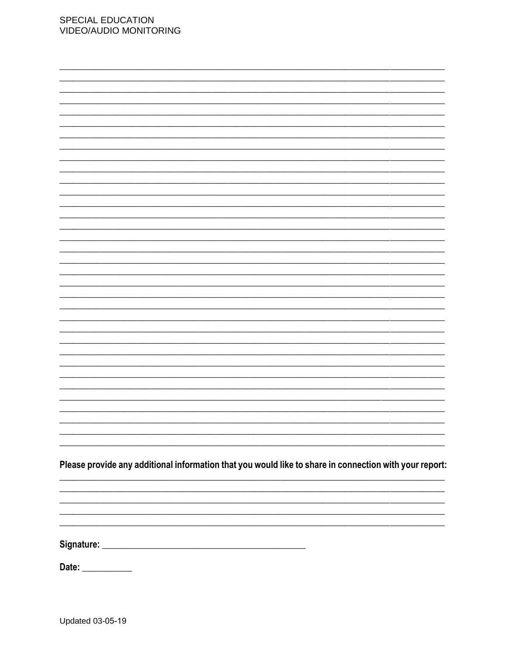| Date: __________                                                                                       |  |
|--------------------------------------------------------------------------------------------------------|--|
|                                                                                                        |  |
|                                                                                                        |  |
|                                                                                                        |  |
|                                                                                                        |  |
|                                                                                                        |  |
|                                                                                                        |  |
|                                                                                                        |  |
| Please provide any additional information that you would like to share in connection with your report: |  |
|                                                                                                        |  |
|                                                                                                        |  |
|                                                                                                        |  |
|                                                                                                        |  |
|                                                                                                        |  |
|                                                                                                        |  |
|                                                                                                        |  |
|                                                                                                        |  |
|                                                                                                        |  |
|                                                                                                        |  |
|                                                                                                        |  |
|                                                                                                        |  |
|                                                                                                        |  |
|                                                                                                        |  |
|                                                                                                        |  |
|                                                                                                        |  |
|                                                                                                        |  |
|                                                                                                        |  |
|                                                                                                        |  |
|                                                                                                        |  |
|                                                                                                        |  |
|                                                                                                        |  |
|                                                                                                        |  |
|                                                                                                        |  |
|                                                                                                        |  |
|                                                                                                        |  |
|                                                                                                        |  |
|                                                                                                        |  |
|                                                                                                        |  |
|                                                                                                        |  |
|                                                                                                        |  |